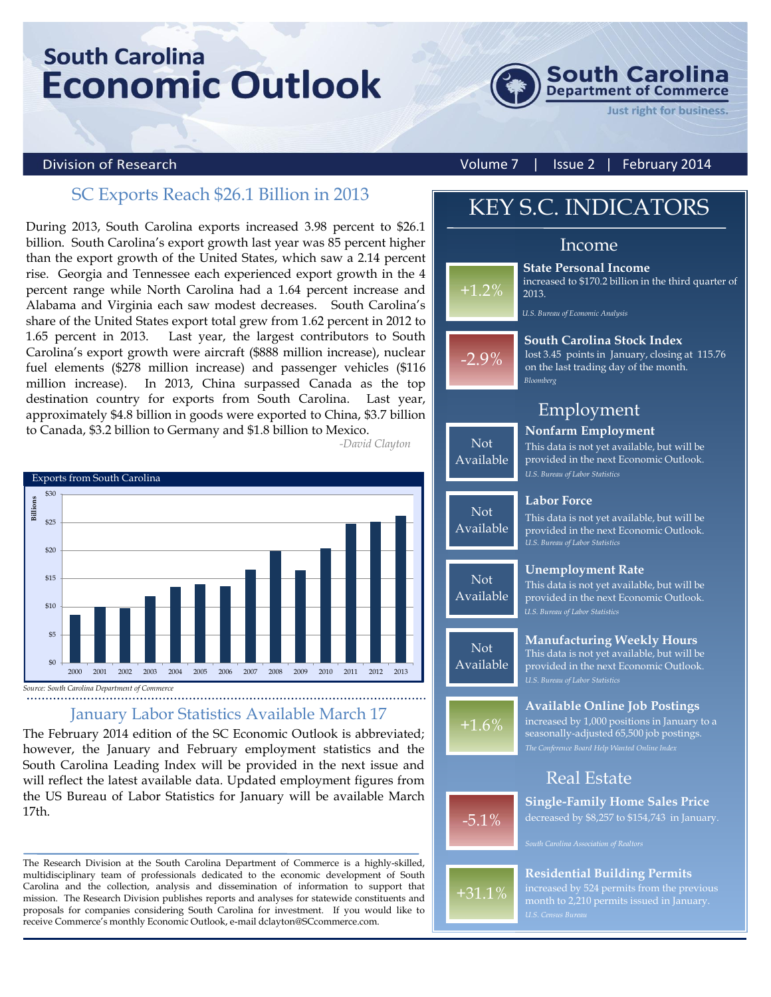# **South Carolina Economic Outlook**



#### **Division of Research**

Volume 7 | Issue 2 | February 2014

### SC Exports Reach \$26.1 Billion in 2013

During 2013, South Carolina exports increased 3.98 percent to \$26.1 billion. South Carolina's export growth last year was 85 percent higher than the export growth of the United States, which saw a 2.14 percent rise. Georgia and Tennessee each experienced export growth in the 4 percent range while North Carolina had a 1.64 percent increase and Alabama and Virginia each saw modest decreases. South Carolina's share of the United States export total grew from 1.62 percent in 2012 to 1.65 percent in 2013. Last year, the largest contributors to South Carolina's export growth were aircraft (\$888 million increase), nuclear fuel elements (\$278 million increase) and passenger vehicles (\$116 million increase). In 2013, China surpassed Canada as the top destination country for exports from South Carolina. Last year, approximately \$4.8 billion in goods were exported to China, \$3.7 billion to Canada, \$3.2 billion to Germany and \$1.8 billion to Mexico. *-David Clayton*



*Source: South Carolina Department of Commerce*

#### January Labor Statistics Available March 17

The February 2014 edition of the SC Economic Outlook is abbreviated; however, the January and February employment statistics and the South Carolina Leading Index will be provided in the next issue and will reflect the latest available data. Updated employment figures from the US Bureau of Labor Statistics for January will be available March 17th.

The Research Division at the South Carolina Department of Commerce is a highly-skilled, multidisciplinary team of professionals dedicated to the economic development of South Carolina and the collection, analysis and dissemination of information to support that mission. The Research Division publishes reports and analyses for statewide constituents and proposals for companies considering South Carolina for investment. If you would like to receive Commerce's monthly Economic Outlook, e-mail dclayton@SCcommerce.com.

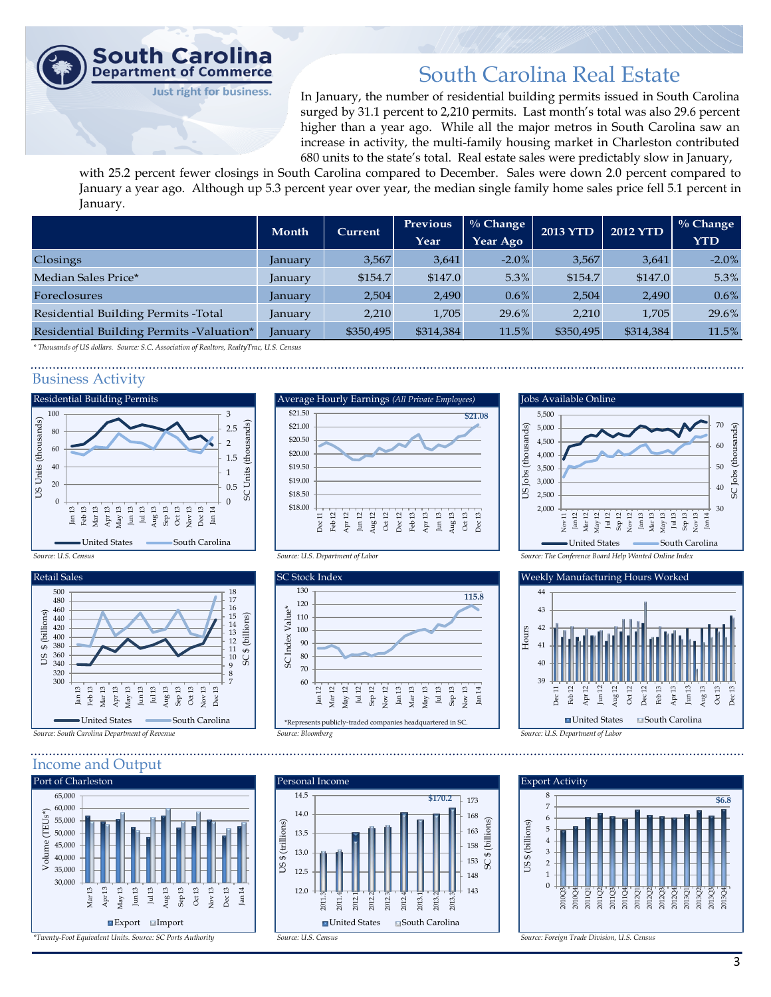

### South Carolina Real Estate

In January, the number of residential building permits issued in South Carolina surged by 31.1 percent to 2,210 permits. Last month's total was also 29.6 percent higher than a year ago. While all the major metros in South Carolina saw an increase in activity, the multi-family housing market in Charleston contributed 680 units to the state's total. Real estate sales were predictably slow in January,

with 25.2 percent fewer closings in South Carolina compared to December. Sales were down 2.0 percent compared to January a year ago. Although up 5.3 percent year over year, the median single family home sales price fell 5.1 percent in January.

|                                           | Month          | <b>Current</b> | Previous  | <sup>0</sup> % Change | <b>2013 YTD</b> | <b>2012 YTD</b> | $\%$ Change |
|-------------------------------------------|----------------|----------------|-----------|-----------------------|-----------------|-----------------|-------------|
|                                           |                |                | Year      | Year Ago              |                 |                 | <b>YTD</b>  |
| Closings                                  | <i>anuary</i>  | 3,567          | 3,641     | $-2.0\%$              | 3,567           | 3,641           | $-2.0%$     |
| Median Sales Price*                       | January        | \$154.7        | \$147.0   | 5.3%                  | \$154.7         | \$147.0         | 5.3%        |
| <b>Foreclosures</b>                       | <b>January</b> | 2,504          | 2,490     | $0.6\%$               | 2,504           | 2,490           | $0.6\%$     |
| Residential Building Permits - Total      | January        | 2,210          | 1.705     | 29.6%                 | 2.210           | 1.705           | 29.6%       |
| Residential Building Permits - Valuation* | January        | \$350,495      | \$314,384 | 11.5%                 | \$350,495       | \$314,384       | 11.5%       |

*\* Thousands of US dollars. Source: S.C. Association of Realtors, RealtyTrac, U.S. Census*

#### Business Activity







#### Income and Output











30 40 41 42 43 44 Dec 11 Feb 12 Apr 12 Jun 12 Aug 12 Oct 12 Dec 12 Feb 13 Apr 13 Jun 13 Aug 13 Oct 13 Dec 13 ■ United States ■ South Carolina Hours